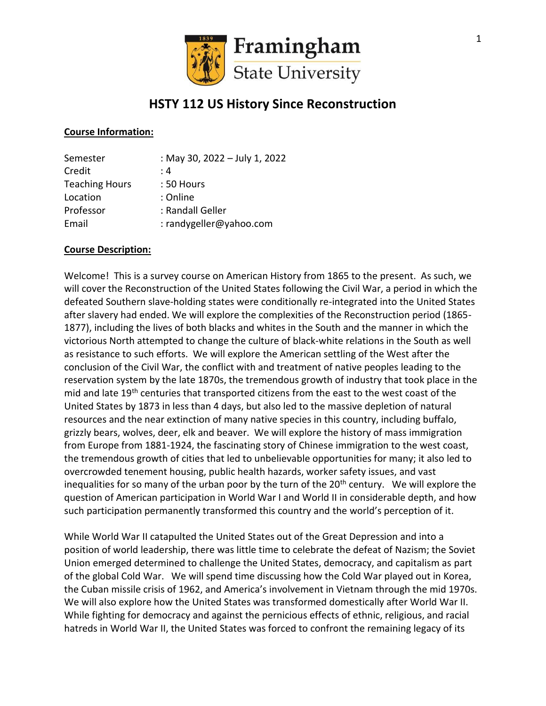

# **HSTY 112 US History Since Reconstruction**

#### **Course Information:**

| Semester              | : May 30, 2022 - July 1, 2022 |
|-----------------------|-------------------------------|
| Credit                | : 4                           |
| <b>Teaching Hours</b> | : 50 Hours                    |
| Location              | : Online                      |
| Professor             | : Randall Geller              |
| Email                 | : randygeller@yahoo.com       |

#### **Course Description:**

Welcome! This is a survey course on American History from 1865 to the present. As such, we will cover the Reconstruction of the United States following the Civil War, a period in which the defeated Southern slave-holding states were conditionally re-integrated into the United States after slavery had ended. We will explore the complexities of the Reconstruction period (1865- 1877), including the lives of both blacks and whites in the South and the manner in which the victorious North attempted to change the culture of black-white relations in the South as well as resistance to such efforts. We will explore the American settling of the West after the conclusion of the Civil War, the conflict with and treatment of native peoples leading to the reservation system by the late 1870s, the tremendous growth of industry that took place in the mid and late 19<sup>th</sup> centuries that transported citizens from the east to the west coast of the United States by 1873 in less than 4 days, but also led to the massive depletion of natural resources and the near extinction of many native species in this country, including buffalo, grizzly bears, wolves, deer, elk and beaver. We will explore the history of mass immigration from Europe from 1881-1924, the fascinating story of Chinese immigration to the west coast, the tremendous growth of cities that led to unbelievable opportunities for many; it also led to overcrowded tenement housing, public health hazards, worker safety issues, and vast inequalities for so many of the urban poor by the turn of the 20<sup>th</sup> century. We will explore the question of American participation in World War I and World II in considerable depth, and how such participation permanently transformed this country and the world's perception of it.

While World War II catapulted the United States out of the Great Depression and into a position of world leadership, there was little time to celebrate the defeat of Nazism; the Soviet Union emerged determined to challenge the United States, democracy, and capitalism as part of the global Cold War. We will spend time discussing how the Cold War played out in Korea, the Cuban missile crisis of 1962, and America's involvement in Vietnam through the mid 1970s. We will also explore how the United States was transformed domestically after World War II. While fighting for democracy and against the pernicious effects of ethnic, religious, and racial hatreds in World War II, the United States was forced to confront the remaining legacy of its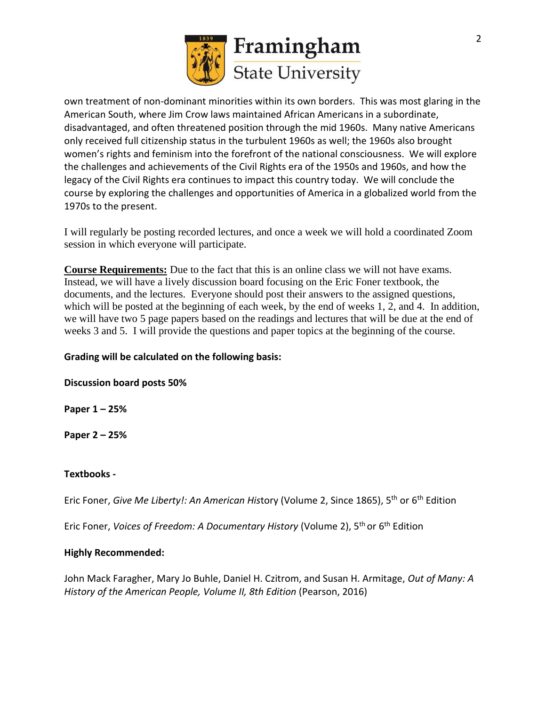

own treatment of non-dominant minorities within its own borders. This was most glaring in the American South, where Jim Crow laws maintained African Americans in a subordinate, disadvantaged, and often threatened position through the mid 1960s. Many native Americans only received full citizenship status in the turbulent 1960s as well; the 1960s also brought women's rights and feminism into the forefront of the national consciousness. We will explore the challenges and achievements of the Civil Rights era of the 1950s and 1960s, and how the legacy of the Civil Rights era continues to impact this country today. We will conclude the course by exploring the challenges and opportunities of America in a globalized world from the 1970s to the present.

I will regularly be posting recorded lectures, and once a week we will hold a coordinated Zoom session in which everyone will participate.

**Course Requirements:** Due to the fact that this is an online class we will not have exams. Instead, we will have a lively discussion board focusing on the Eric Foner textbook, the documents, and the lectures. Everyone should post their answers to the assigned questions, which will be posted at the beginning of each week, by the end of weeks 1, 2, and 4. In addition, we will have two 5 page papers based on the readings and lectures that will be due at the end of weeks 3 and 5. I will provide the questions and paper topics at the beginning of the course.

### **Grading will be calculated on the following basis:**

**Discussion board posts 50%**

**Paper 1 – 25%**

**Paper 2 – 25%**

#### **Textbooks -**

Eric Foner*, Give Me Liberty!: An American His*tory (Volume 2, Since 1865), 5<sup>th</sup> or 6<sup>th</sup> Edition

Eric Foner, *Voices of Freedom: A Documentary History* (Volume 2), 5th or 6th Edition

#### **Highly Recommended:**

John Mack Faragher, Mary Jo Buhle, Daniel H. Czitrom, and Susan H. Armitage, *Out of Many: A History of the American People, Volume II, 8th Edition* (Pearson, 2016)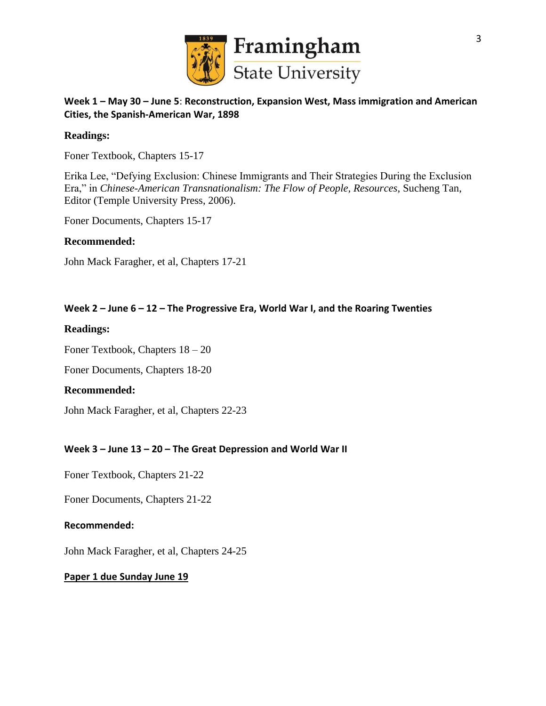

# **Week 1 – May 30 – June 5**: **Reconstruction, Expansion West, Mass immigration and American Cities, the Spanish-American War, 1898**

#### **Readings:**

Foner Textbook, Chapters 15-17

Erika Lee, "Defying Exclusion: Chinese Immigrants and Their Strategies During the Exclusion Era," in *Chinese-American Transnationalism: The Flow of People, Resources*, Sucheng Tan, Editor (Temple University Press, 2006).

Foner Documents, Chapters 15-17

#### **Recommended:**

John Mack Faragher, et al, Chapters 17-21

#### **Week 2 – June 6 – 12 – The Progressive Era, World War I, and the Roaring Twenties**

#### **Readings:**

Foner Textbook, Chapters 18 – 20

Foner Documents, Chapters 18-20

#### **Recommended:**

John Mack Faragher, et al, Chapters 22-23

# **Week 3 – June 13 – 20 – The Great Depression and World War II**

Foner Textbook, Chapters 21-22

Foner Documents, Chapters 21-22

#### **Recommended:**

John Mack Faragher, et al, Chapters 24-25

#### **Paper 1 due Sunday June 19**